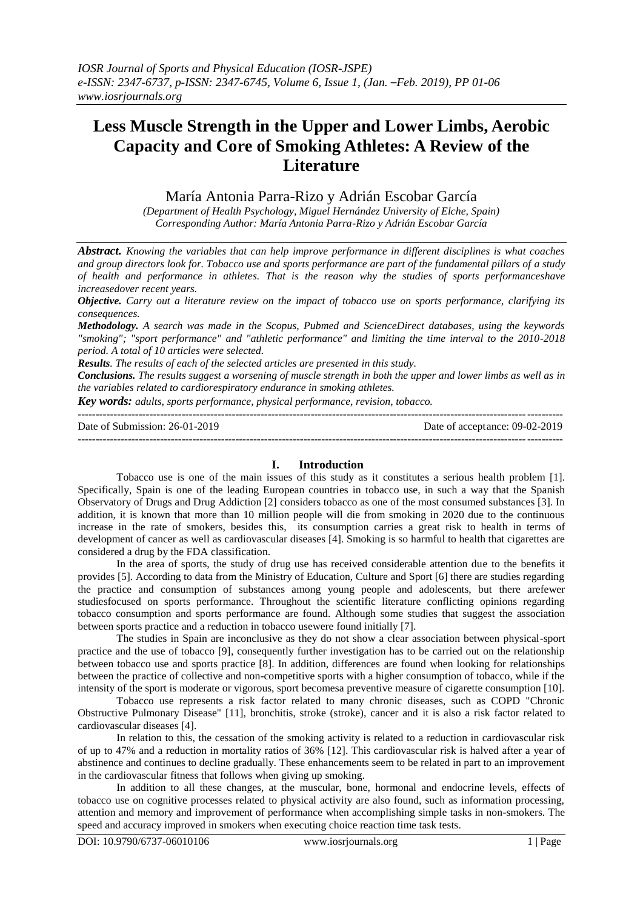# **Less Muscle Strength in the Upper and Lower Limbs, Aerobic Capacity and Core of Smoking Athletes: A Review of the Literature**

María Antonia Parra-Rizo y Adrián Escobar García

*(Department of Health Psychology, Miguel Hernández University of Elche, Spain) Corresponding Author: María Antonia Parra-Rizo y Adrián Escobar García*

*Abstract. Knowing the variables that can help improve performance in different disciplines is what coaches and group directors look for. Tobacco use and sports performance are part of the fundamental pillars of a study of health and performance in athletes. That is the reason why the studies of sports performanceshave increasedover recent years.*

*Objective. Carry out a literature review on the impact of tobacco use on sports performance, clarifying its consequences.* 

*Methodology. A search was made in the Scopus, Pubmed and ScienceDirect databases, using the keywords "smoking"; "sport performance" and "athletic performance" and limiting the time interval to the 2010-2018 period. A total of 10 articles were selected.* 

*Results. The results of each of the selected articles are presented in this study.* 

*Conclusions. The results suggest a worsening of muscle strength in both the upper and lower limbs as well as in the variables related to cardiorespiratory endurance in smoking athletes.*

*Key words: adults, sports performance, physical performance, revision, tobacco.*

| Date of Submission: $26-01-2019$ | Date of acceptance: 09-02-2019 |
|----------------------------------|--------------------------------|
|                                  |                                |

### **I. Introduction**

Tobacco use is one of the main issues of this study as it constitutes a serious health problem [1]. Specifically, Spain is one of the leading European countries in tobacco use, in such a way that the Spanish Observatory of Drugs and Drug Addiction [2] considers tobacco as one of the most consumed substances [3]. In addition, it is known that more than 10 million people will die from smoking in 2020 due to the continuous increase in the rate of smokers, besides this, its consumption carries a great risk to health in terms of development of cancer as well as cardiovascular diseases [4]. Smoking is so harmful to health that cigarettes are considered a drug by the FDA classification.

In the area of sports, the study of drug use has received considerable attention due to the benefits it provides [5]. According to data from the Ministry of Education, Culture and Sport [6] there are studies regarding the practice and consumption of substances among young people and adolescents, but there arefewer studiesfocused on sports performance. Throughout the scientific literature conflicting opinions regarding tobacco consumption and sports performance are found. Although some studies that suggest the association between sports practice and a reduction in tobacco usewere found initially [7].

The studies in Spain are inconclusive as they do not show a clear association between physical-sport practice and the use of tobacco [9], consequently further investigation has to be carried out on the relationship between tobacco use and sports practice [8]. In addition, differences are found when looking for relationships between the practice of collective and non-competitive sports with a higher consumption of tobacco, while if the intensity of the sport is moderate or vigorous, sport becomesa preventive measure of cigarette consumption [10].

Tobacco use represents a risk factor related to many chronic diseases, such as COPD "Chronic Obstructive Pulmonary Disease" [11], bronchitis, stroke (stroke), cancer and it is also a risk factor related to cardiovascular diseases [4].

In relation to this, the cessation of the smoking activity is related to a reduction in cardiovascular risk of up to 47% and a reduction in mortality ratios of 36% [12]. This cardiovascular risk is halved after a year of abstinence and continues to decline gradually. These enhancements seem to be related in part to an improvement in the cardiovascular fitness that follows when giving up smoking.

In addition to all these changes, at the muscular, bone, hormonal and endocrine levels, effects of tobacco use on cognitive processes related to physical activity are also found, such as information processing, attention and memory and improvement of performance when accomplishing simple tasks in non-smokers. The speed and accuracy improved in smokers when executing choice reaction time task tests.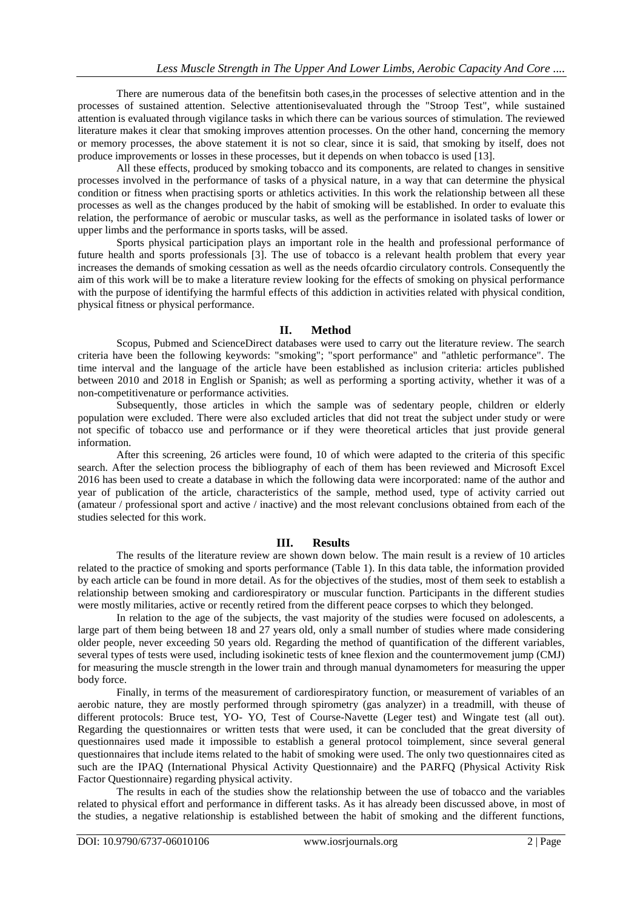There are numerous data of the benefitsin both cases,in the processes of selective attention and in the processes of sustained attention. Selective attentionisevaluated through the "Stroop Test", while sustained attention is evaluated through vigilance tasks in which there can be various sources of stimulation. The reviewed literature makes it clear that smoking improves attention processes. On the other hand, concerning the memory or memory processes, the above statement it is not so clear, since it is said, that smoking by itself, does not produce improvements or losses in these processes, but it depends on when tobacco is used [13].

All these effects, produced by smoking tobacco and its components, are related to changes in sensitive processes involved in the performance of tasks of a physical nature, in a way that can determine the physical condition or fitness when practising sports or athletics activities. In this work the relationship between all these processes as well as the changes produced by the habit of smoking will be established. In order to evaluate this relation, the performance of aerobic or muscular tasks, as well as the performance in isolated tasks of lower or upper limbs and the performance in sports tasks, will be assed.

Sports physical participation plays an important role in the health and professional performance of future health and sports professionals [3]. The use of tobacco is a relevant health problem that every year increases the demands of smoking cessation as well as the needs ofcardio circulatory controls. Consequently the aim of this work will be to make a literature review looking for the effects of smoking on physical performance with the purpose of identifying the harmful effects of this addiction in activities related with physical condition, physical fitness or physical performance.

# **II. Method**

Scopus, Pubmed and ScienceDirect databases were used to carry out the literature review. The search criteria have been the following keywords: "smoking"; "sport performance" and "athletic performance". The time interval and the language of the article have been established as inclusion criteria: articles published between 2010 and 2018 in English or Spanish; as well as performing a sporting activity, whether it was of a non-competitivenature or performance activities.

Subsequently, those articles in which the sample was of sedentary people, children or elderly population were excluded. There were also excluded articles that did not treat the subject under study or were not specific of tobacco use and performance or if they were theoretical articles that just provide general information.

After this screening, 26 articles were found, 10 of which were adapted to the criteria of this specific search. After the selection process the bibliography of each of them has been reviewed and Microsoft Excel 2016 has been used to create a database in which the following data were incorporated: name of the author and year of publication of the article, characteristics of the sample, method used, type of activity carried out (amateur / professional sport and active / inactive) and the most relevant conclusions obtained from each of the studies selected for this work.

### **III. Results**

The results of the literature review are shown down below. The main result is a review of 10 articles related to the practice of smoking and sports performance (Table 1). In this data table, the information provided by each article can be found in more detail. As for the objectives of the studies, most of them seek to establish a relationship between smoking and cardiorespiratory or muscular function. Participants in the different studies were mostly militaries, active or recently retired from the different peace corpses to which they belonged.

In relation to the age of the subjects, the vast majority of the studies were focused on adolescents, a large part of them being between 18 and 27 years old, only a small number of studies where made considering older people, never exceeding 50 years old. Regarding the method of quantification of the different variables, several types of tests were used, including isokinetic tests of knee flexion and the countermovement jump (CMJ) for measuring the muscle strength in the lower train and through manual dynamometers for measuring the upper body force.

Finally, in terms of the measurement of cardiorespiratory function, or measurement of variables of an aerobic nature, they are mostly performed through spirometry (gas analyzer) in a treadmill, with theuse of different protocols: Bruce test, YO- YO, Test of Course-Navette (Leger test) and Wingate test (all out). Regarding the questionnaires or written tests that were used, it can be concluded that the great diversity of questionnaires used made it impossible to establish a general protocol toimplement, since several general questionnaires that include items related to the habit of smoking were used. The only two questionnaires cited as such are the IPAQ (International Physical Activity Questionnaire) and the PARFQ (Physical Activity Risk Factor Questionnaire) regarding physical activity.

The results in each of the studies show the relationship between the use of tobacco and the variables related to physical effort and performance in different tasks. As it has already been discussed above, in most of the studies, a negative relationship is established between the habit of smoking and the different functions,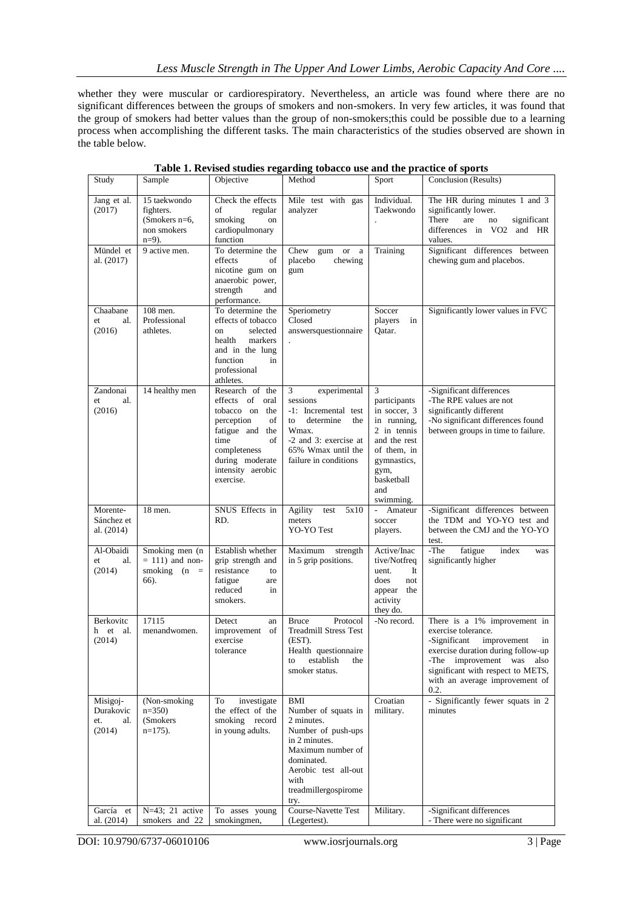whether they were muscular or cardiorespiratory. Nevertheless, an article was found where there are no significant differences between the groups of smokers and non-smokers. In very few articles, it was found that the group of smokers had better values than the group of non-smokers;this could be possible due to a learning process when accomplishing the different tasks. The main characteristics of the studies observed are shown in the table below.

| Study                                                      | Sample                                                                   | Objective                                                                                                                                                                      | Method                                                                                                                                                                                                    | Sport                                                                                                                                                   | Conclusion (Results)                                                                                                                                                                                                                       |
|------------------------------------------------------------|--------------------------------------------------------------------------|--------------------------------------------------------------------------------------------------------------------------------------------------------------------------------|-----------------------------------------------------------------------------------------------------------------------------------------------------------------------------------------------------------|---------------------------------------------------------------------------------------------------------------------------------------------------------|--------------------------------------------------------------------------------------------------------------------------------------------------------------------------------------------------------------------------------------------|
| Jang et al.<br>(2017)                                      | 15 taekwondo<br>fighters.<br>(Smokers $n=6$ ,<br>non smokers<br>$n=9$ ). | Check the effects<br>of<br>regular<br>smoking<br>on<br>cardiopulmonary<br>function                                                                                             | Mile test with gas<br>analyzer                                                                                                                                                                            | Individual.<br>Taekwondo                                                                                                                                | The HR during minutes 1 and 3<br>significantly lower.<br>There<br>are<br>significant<br>no<br>differences in VO2 and HR<br>values.                                                                                                         |
| Mündel et<br>al. (2017)                                    | 9 active men.                                                            | To determine the<br>effects<br>of<br>nicotine gum on<br>anaerobic power,<br>strength<br>and<br>performance.                                                                    | Chew gum<br><b>or</b><br>a<br>placebo<br>chewing<br>gum                                                                                                                                                   | Training                                                                                                                                                | Significant differences between<br>chewing gum and placebos.                                                                                                                                                                               |
| Chaabane<br>al.<br>et<br>(2016)                            | 108 men.<br>Professional<br>athletes.                                    | To determine the<br>effects of tobacco<br>selected<br>on<br>health<br>markers<br>and in the lung<br>function<br>in<br>professional<br>athletes.                                | Speriometry<br>Closed<br>answersquestionnaire                                                                                                                                                             | Soccer<br>players<br>in<br>Qatar.                                                                                                                       | Significantly lower values in FVC                                                                                                                                                                                                          |
| Zandonai<br>al.<br>et<br>(2016)                            | 14 healthy men                                                           | Research of the<br>effects of oral<br>tobacco on the<br>perception<br>of<br>fatigue and the<br>time<br>of<br>completeness<br>during moderate<br>intensity aerobic<br>exercise. | experimental<br>3<br>sessions<br>-1: Incremental test<br>to<br>determine<br>the<br>Wmax.<br>-2 and 3: exercise at<br>65% Wmax until the<br>failure in conditions                                          | 3<br>participants<br>in soccer, 3<br>in running,<br>2 in tennis<br>and the rest<br>of them, in<br>gymnastics,<br>gym,<br>basketball<br>and<br>swimming. | -Significant differences<br>-The RPE values are not<br>significantly different<br>-No significant differences found<br>between groups in time to failure.                                                                                  |
| Morente-<br>Sánchez et<br>al. (2014)                       | 18 men.                                                                  | SNUS Effects in<br>RD.                                                                                                                                                         | Agility<br>5x10<br>test<br>meters<br>YO-YO Test                                                                                                                                                           | ÷.<br>Amateur<br>soccer<br>players.                                                                                                                     | -Significant differences between<br>the TDM and YO-YO test and<br>between the CMJ and the YO-YO<br>test.                                                                                                                                   |
| Al-Obaidi<br>al.<br>et<br>(2014)                           | Smoking men (n<br>$= 111$ ) and non-<br>smoking $(n =$<br>66).           | Establish whether<br>grip strength and<br>resistance<br>to<br>fatigue<br>are<br>reduced<br>in<br>smokers.                                                                      | Maximum strength<br>in 5 grip positions.                                                                                                                                                                  | Active/Inac<br>tive/Notfreq<br>uent.<br>It<br>does<br>not<br>appear<br>the<br>activity<br>they do.                                                      | The<br>fatigue<br>index<br>was<br>significantly higher                                                                                                                                                                                     |
| Berkovitc<br>et<br>h<br>al.<br>(2014)                      | 17115<br>menandwomen.                                                    | Detect<br>an<br>improvement of<br>exercise<br>tolerance                                                                                                                        | Protocol<br><b>Bruce</b><br><b>Treadmill Stress Test</b><br>(EST).<br>Health questionnaire<br>to establish the<br>smoker status.                                                                          | -No record.                                                                                                                                             | There is a 1% improvement in<br>exercise tolerance.<br>-Significant<br>improvement<br>in<br>exercise duration during follow-up<br>-The improvement was also<br>significant with respect to METS,<br>with an average improvement of<br>0.2. |
| Misigoj-<br>Durakovic<br>et.<br>al.<br>(2014)<br>García et | (Non-smoking<br>$n=350$<br>(Smokers)<br>$n=175$ ).<br>N=43; 21 active    | investigate<br>To<br>the effect of the<br>smoking record<br>in young adults.<br>To asses young                                                                                 | BMI<br>Number of squats in<br>2 minutes.<br>Number of push-ups<br>in 2 minutes.<br>Maximum number of<br>dominated.<br>Aerobic test all-out<br>with<br>treadmillergospirome<br>try.<br>Course-Navette Test | Croatian<br>military.<br>Military.                                                                                                                      | - Significantly fewer squats in 2<br>minutes<br>-Significant differences                                                                                                                                                                   |
| al. (2014)                                                 | smokers and 22                                                           | smokingmen,                                                                                                                                                                    | (Legertest).                                                                                                                                                                                              |                                                                                                                                                         | - There were no significant                                                                                                                                                                                                                |

**Table 1. Revised studies regarding tobacco use and the practice of sports**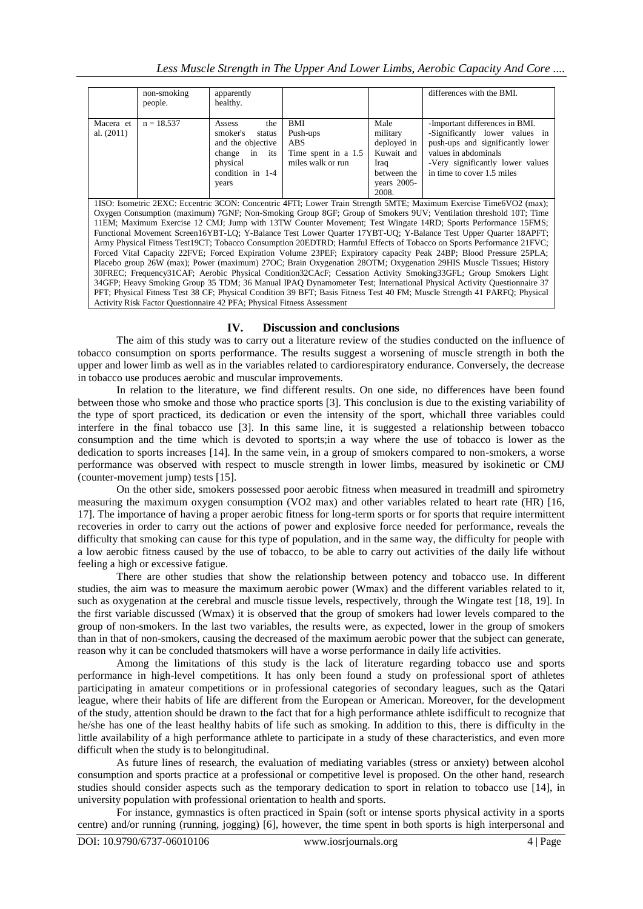|                                                                                                                                                                                                                                                                                                                                    | non-smoking<br>people. | apparently<br>healthy.                                                                                             |                                                                    |                                                                                                | differences with the BMI.                                                                                                                                                                      |
|------------------------------------------------------------------------------------------------------------------------------------------------------------------------------------------------------------------------------------------------------------------------------------------------------------------------------------|------------------------|--------------------------------------------------------------------------------------------------------------------|--------------------------------------------------------------------|------------------------------------------------------------------------------------------------|------------------------------------------------------------------------------------------------------------------------------------------------------------------------------------------------|
| Macera et<br>al. $(2011)$                                                                                                                                                                                                                                                                                                          | $n = 18.537$           | the<br>Assess<br>smoker's<br>status<br>and the objective<br>change in its<br>physical<br>condition in 1-4<br>years | BMI<br>Push-ups<br>ABS<br>Time spent in a 1.5<br>miles walk or run | Male<br>military<br>deployed in<br>Kuwait and<br>Iraq<br>between the<br>vears $2005-$<br>2008. | -Important differences in BMI.<br>-Significantly lower values in<br>push-ups and significantly lower<br>values in abdominals<br>-Very significantly lower values<br>in time to cover 1.5 miles |
| $\mathbf{1}$ $\mathbf{1}$ $\mathbf{0}$ $\mathbf{0}$ $\mathbf{1}$ $\mathbf{1}$ $\mathbf{1}$ $\mathbf{1}$ $\mathbf{1}$ $\mathbf{0}$ $\mathbf{1}$ $\mathbf{1}$ $\mathbf{1}$ $\mathbf{1}$ $\mathbf{1}$ $\mathbf{1}$ $\mathbf{1}$ $\mathbf{1}$ $\mathbf{1}$ $\mathbf{1}$ $\mathbf{1}$ $\mathbf{1}$ $\mathbf{1}$ $\mathbf{1}$ $\mathbf{$ |                        |                                                                                                                    |                                                                    |                                                                                                |                                                                                                                                                                                                |

1ISO: Isometric 2EXC: Eccentric 3CON: Concentric 4FTI; Lower Train Strength 5MTE; Maximum Exercise Time6VO2 (max); Oxygen Consumption (maximum) 7GNF; Non-Smoking Group 8GF; Group of Smokers 9UV; Ventilation threshold 10T; Time 11EM; Maximum Exercise 12 CMJ; Jump with 13TW Counter Movement; Test Wingate 14RD; Sports Performance 15FMS; Functional Movement Screen16YBT-LQ; Y-Balance Test Lower Quarter 17YBT-UQ; Y-Balance Test Upper Quarter 18APFT; Army Physical Fitness Test19CT; Tobacco Consumption 20EDTRD; Harmful Effects of Tobacco on Sports Performance 21FVC; Forced Vital Capacity 22FVE; Forced Expiration Volume 23PEF; Expiratory capacity Peak 24BP; Blood Pressure 25PLA; Placebo group 26W (max); Power (maximum) 27OC; Brain Oxygenation 28OTM; Oxygenation 29HIS Muscle Tissues; History 30FREC; Frequency31CAF; Aerobic Physical Condition32CAcF; Cessation Activity Smoking33GFL; Group Smokers Light 34GFP; Heavy Smoking Group 35 TDM; 36 Manual IPAQ Dynamometer Test; International Physical Activity Questionnaire 37 PFT; Physical Fitness Test 38 CF; Physical Condition 39 BFT; Basis Fitness Test 40 FM; Muscle Strength 41 PARFQ; Physical Activity Risk Factor Questionnaire 42 PFA; Physical Fitness Assessment

# **IV. Discussion and conclusions**

The aim of this study was to carry out a literature review of the studies conducted on the influence of tobacco consumption on sports performance. The results suggest a worsening of muscle strength in both the upper and lower limb as well as in the variables related to cardiorespiratory endurance. Conversely, the decrease in tobacco use produces aerobic and muscular improvements.

In relation to the literature, we find different results. On one side, no differences have been found between those who smoke and those who practice sports [3]. This conclusion is due to the existing variability of the type of sport practiced, its dedication or even the intensity of the sport, whichall three variables could interfere in the final tobacco use [3]. In this same line, it is suggested a relationship between tobacco consumption and the time which is devoted to sports;in a way where the use of tobacco is lower as the dedication to sports increases [14]. In the same vein, in a group of smokers compared to non-smokers, a worse performance was observed with respect to muscle strength in lower limbs, measured by isokinetic or CMJ (counter-movement jump) tests [15].

On the other side, smokers possessed poor aerobic fitness when measured in treadmill and spirometry measuring the maximum oxygen consumption (VO2 max) and other variables related to heart rate (HR) [16, 17]. The importance of having a proper aerobic fitness for long-term sports or for sports that require intermittent recoveries in order to carry out the actions of power and explosive force needed for performance, reveals the difficulty that smoking can cause for this type of population, and in the same way, the difficulty for people with a low aerobic fitness caused by the use of tobacco, to be able to carry out activities of the daily life without feeling a high or excessive fatigue.

There are other studies that show the relationship between potency and tobacco use. In different studies, the aim was to measure the maximum aerobic power (Wmax) and the different variables related to it, such as oxygenation at the cerebral and muscle tissue levels, respectively, through the Wingate test [18, 19]. In the first variable discussed (Wmax) it is observed that the group of smokers had lower levels compared to the group of non-smokers. In the last two variables, the results were, as expected, lower in the group of smokers than in that of non-smokers, causing the decreased of the maximum aerobic power that the subject can generate, reason why it can be concluded thatsmokers will have a worse performance in daily life activities.

Among the limitations of this study is the lack of literature regarding tobacco use and sports performance in high-level competitions. It has only been found a study on professional sport of athletes participating in amateur competitions or in professional categories of secondary leagues, such as the Qatari league, where their habits of life are different from the European or American. Moreover, for the development of the study, attention should be drawn to the fact that for a high performance athlete isdifficult to recognize that he/she has one of the least healthy habits of life such as smoking. In addition to this, there is difficulty in the little availability of a high performance athlete to participate in a study of these characteristics, and even more difficult when the study is to belongitudinal.

As future lines of research, the evaluation of mediating variables (stress or anxiety) between alcohol consumption and sports practice at a professional or competitive level is proposed. On the other hand, research studies should consider aspects such as the temporary dedication to sport in relation to tobacco use [14], in university population with professional orientation to health and sports.

For instance, gymnastics is often practiced in Spain (soft or intense sports physical activity in a sports centre) and/or running (running, jogging) [6], however, the time spent in both sports is high interpersonal and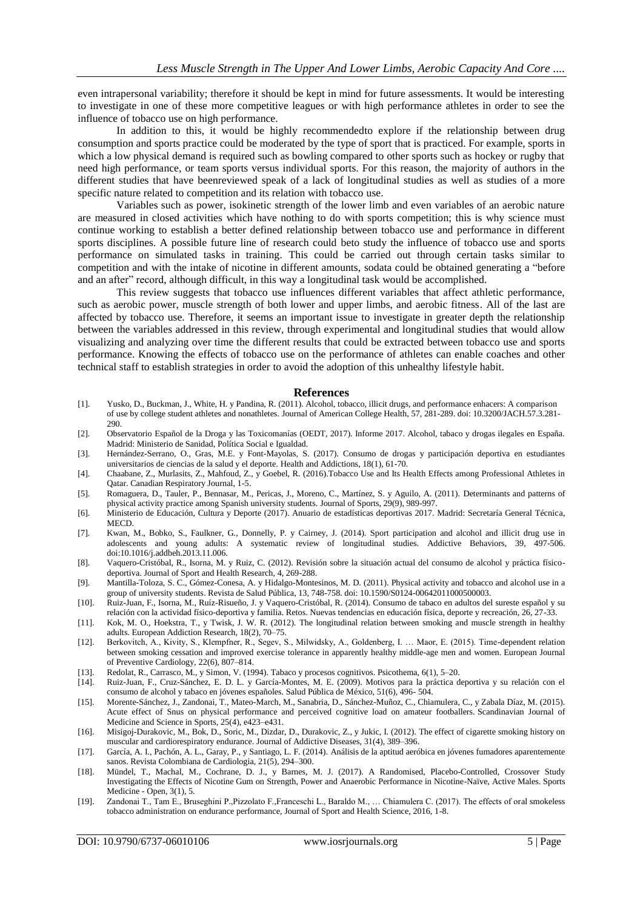even intrapersonal variability; therefore it should be kept in mind for future assessments. It would be interesting to investigate in one of these more competitive leagues or with high performance athletes in order to see the influence of tobacco use on high performance.

In addition to this, it would be highly recommendedto explore if the relationship between drug consumption and sports practice could be moderated by the type of sport that is practiced. For example, sports in which a low physical demand is required such as bowling compared to other sports such as hockey or rugby that need high performance, or team sports versus individual sports. For this reason, the majority of authors in the different studies that have beenreviewed speak of a lack of longitudinal studies as well as studies of a more specific nature related to competition and its relation with tobacco use.

Variables such as power, isokinetic strength of the lower limb and even variables of an aerobic nature are measured in closed activities which have nothing to do with sports competition; this is why science must continue working to establish a better defined relationship between tobacco use and performance in different sports disciplines. A possible future line of research could beto study the influence of tobacco use and sports performance on simulated tasks in training. This could be carried out through certain tasks similar to competition and with the intake of nicotine in different amounts, sodata could be obtained generating a "before and an after" record, although difficult, in this way a longitudinal task would be accomplished.

This review suggests that tobacco use influences different variables that affect athletic performance, such as aerobic power, muscle strength of both lower and upper limbs, and aerobic fitness. All of the last are affected by tobacco use. Therefore, it seems an important issue to investigate in greater depth the relationship between the variables addressed in this review, through experimental and longitudinal studies that would allow visualizing and analyzing over time the different results that could be extracted between tobacco use and sports performance. Knowing the effects of tobacco use on the performance of athletes can enable coaches and other technical staff to establish strategies in order to avoid the adoption of this unhealthy lifestyle habit.

#### **References**

- [1]. Yusko, D., Buckman, J., White, H. y Pandina, R. (2011). Alcohol, tobacco, illicit drugs, and performance enhacers: A comparison of use by college student athletes and nonathletes. Journal of American College Health, 57, 281-289. doi: 10.3200/JACH.57.3.281- 290.
- [2]. Observatorio Español de la Droga y las Toxicomanías (OEDT, 2017). Informe 2017. Alcohol, tabaco y drogas ilegales en España. Madrid: Ministerio de Sanidad, Política Social e Igualdad.
- [3]. Hernández-Serrano, O., Gras, M.E. y Font-Mayolas, S. (2017). Consumo de drogas y participación deportiva en estudiantes universitarios de ciencias de la salud y el deporte. Health and Addictions, 18(1), 61-70.
- [4]. Chaabane, Z., Murlasits, Z., Mahfoud, Z., y Goebel, R. (2016).Tobacco Use and Its Health Effects among Professional Athletes in Qatar. Canadian Respiratory Journal, 1-5.
- [5]. Romaguera, D., Tauler, P., Bennasar, M., Pericas, J., Moreno, C., Martínez, S. y Aguilo, A. (2011). Determinants and patterns of physical activity practice among Spanish university students. Journal of Sports, 29(9), 989-997.
- [6]. Ministerio de Educación, Cultura y Deporte (2017). Anuario de estadísticas deportivas 2017. Madrid: Secretaría General Técnica, MECD.
- [7]. Kwan, M., Bobko, S., Faulkner, G., Donnelly, P. y Cairney, J. (2014). Sport participation and alcohol and illicit drug use in adolescents and young adults: A systematic review of longitudinal studies. Addictive Behaviors, 39, 497-506. doi:10.1016/j.addbeh.2013.11.006.
- [8]. Vaquero-Cristóbal, R., Isorna, M. y Ruiz, C. (2012). Revisión sobre la situación actual del consumo de alcohol y práctica físicodeportiva. Journal of Sport and Health Research, 4, 269-288.
- [9]. Mantilla-Toloza, S. C., Gómez-Conesa, A. y Hidalgo-Montesinos, M. D. (2011). Physical activity and tobacco and alcohol use in a group of university students. Revista de Salud Pública, 13, 748-758. doi: 10.1590/S0124-00642011000500003.
- [10]. Ruiz-Juan, F., Isorna, M., Ruíz-Risueño, J. y Vaquero-Cristóbal, R. (2014). Consumo de tabaco en adultos del sureste español y su relación con la actividad físico-deportiva y familia. Retos. Nuevas tendencias en educación física, deporte y recreación, 26, 27-33.
- [11]. Kok, M. O., Hoekstra, T., y Twisk, J. W. R. (2012). The longitudinal relation between smoking and muscle strength in healthy adults. European Addiction Research, 18(2), 70–75.
- [12]. Berkovitch, A., Kivity, S., Klempfner, R., Segev, S., Milwidsky, A., Goldenberg, I. … Maor, E. (2015). Time-dependent relation between smoking cessation and improved exercise tolerance in apparently healthy middle-age men and women. European Journal of Preventive Cardiology, 22(6), 807–814.
- [13]. Redolat, R., Carrasco, M., y Simon, V. (1994). Tabaco y procesos cognitivos. Psicothema, 6(1), 5–20.
- [14]. Ruiz-Juan, F., Cruz-Sánchez, E. D. L. y García-Montes, M. E. (2009). Motivos para la práctica deportiva y su relación con el consumo de alcohol y tabaco en jóvenes españoles. Salud Pública de México, 51(6), 496- 504.
- [15]. Morente-Sánchez, J., Zandonai, T., Mateo-March, M., Sanabria, D., Sánchez-Muñoz, C., Chiamulera, C., y Zabala Díaz, M. (2015). Acute effect of Snus on physical performance and perceived cognitive load on amateur footballers. Scandinavian Journal of Medicine and Science in Sports, 25(4), e423–e431.
- [16]. Misigoj-Durakovic, M., Bok, D., Soric, M., Dizdar, D., Durakovic, Z., y Jukic, I. (2012). The effect of cigarette smoking history on muscular and cardiorespiratory endurance. Journal of Addictive Diseases, 31(4), 389–396.
- [17]. García, A. I., Pachón, A. L., Garay, P., y Santiago, L. F. (2014). Análisis de la aptitud aeróbica en jóvenes fumadores aparentemente sanos. Revista Colombiana de Cardiologia, 21(5), 294–300.
- [18]. Mündel, T., Machal, M., Cochrane, D. J., y Barnes, M. J. (2017). A Randomised, Placebo-Controlled, Crossover Study Investigating the Effects of Nicotine Gum on Strength, Power and Anaerobic Performance in Nicotine-Naïve, Active Males. Sports Medicine - Open, 3(1), 5.
- [19]. Zandonai T., Tam E., Bruseghini P.,Pizzolato F.,Franceschi L., Baraldo M., … Chiamulera C. (2017). The effects of oral smokeless tobacco administration on endurance performance, Journal of Sport and Health Science, 2016, 1-8.